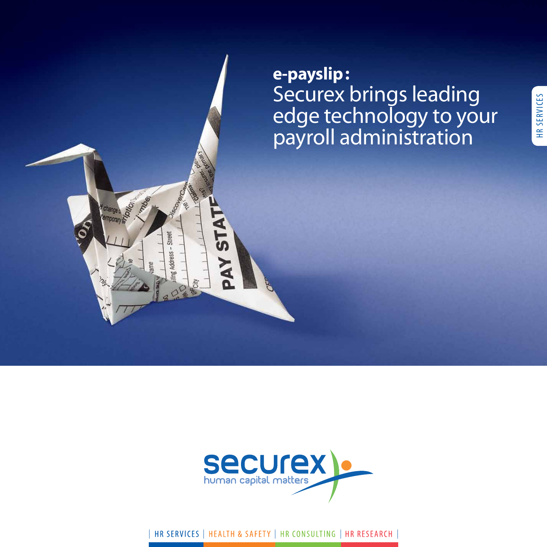e-payslip: Securex brings leading edge technology to your<br>payroll administration

HR SERVICES



| HR SERVICES | HEALTH & SAFETY | HR CONSULTING | HR RESEARCH |

1706

**Street** 

E<br>A

Totton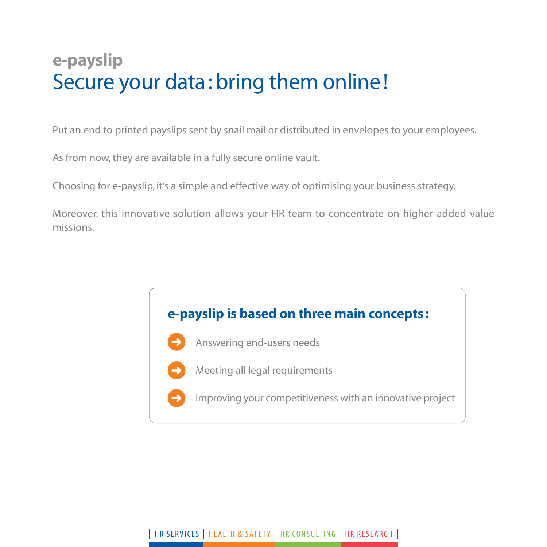# **e-payslip** Secure your data: bring them online!

Put an end to printed payslips sent by snail mail or distributed in envelopes to your employees.

As from now, they are available in a fully secure online vault.

➜

➜

➜

Choosing for e-payslip, it's a simple and effective way of optimising your business strategy.

Moreover, this innovative solution allows your HR team to concentrate on higher added value missions.

## **e-payslip is based on three main concepts :**

- Answering end-users needs
- Meeting all legal requirements
- Improving your competitiveness with an innovative project

### | HR SERVICES | HEALTH & SAFETY | HR CONSULTING | HR RESEARCH |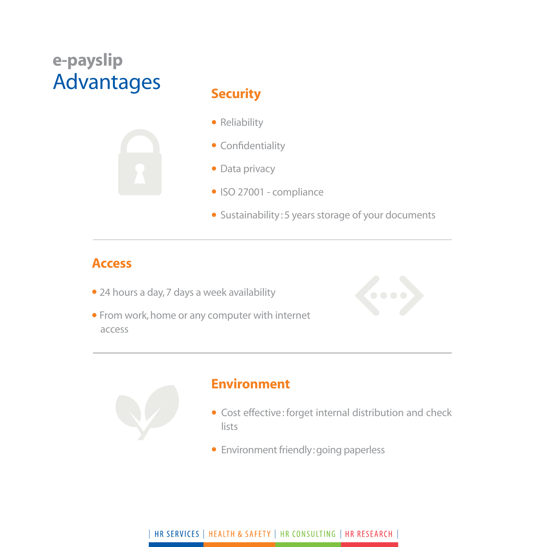# **e-payslip** Advantages **Security**



- Reliability
- Confidentiality
- Data privacy
- ISO 27001 compliance
- Sustainability: 5 years storage of your documents

## **Access**

- 24 hours a day, 7 days a week availability
- From work, home or any computer with internet access





## **Environment**

- Cost effective: forget internal distribution and check lists
- Environment friendly: going paperless

#### | HR SERVICES | HEALTH & SAFETY | HR CONSULTING | HR RESEARCH |